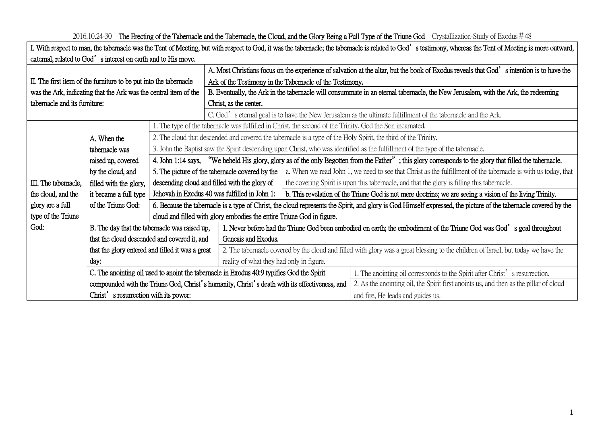| I. With respect to man, the tabernacle was the Tent of Meeting, but with respect to God, it was the tabernacle; the tabernacle is related to God's testimony, whereas the Tent of Meeting is more outward, |                                                                                           |                                                                                                                                                                  |                                                                                                                                                                   |                                                                                                          |                                                                                       |  |  |  |
|------------------------------------------------------------------------------------------------------------------------------------------------------------------------------------------------------------|-------------------------------------------------------------------------------------------|------------------------------------------------------------------------------------------------------------------------------------------------------------------|-------------------------------------------------------------------------------------------------------------------------------------------------------------------|----------------------------------------------------------------------------------------------------------|---------------------------------------------------------------------------------------|--|--|--|
| external, related to God's interest on earth and to His move.                                                                                                                                              |                                                                                           |                                                                                                                                                                  |                                                                                                                                                                   |                                                                                                          |                                                                                       |  |  |  |
|                                                                                                                                                                                                            |                                                                                           |                                                                                                                                                                  | A. Most Christians focus on the experience of salvation at the altar, but the book of Exodus reveals that God's intention is to have the                          |                                                                                                          |                                                                                       |  |  |  |
| II. The first item of the furniture to be put into the tabernacle                                                                                                                                          |                                                                                           |                                                                                                                                                                  | Ark of the Testimony in the Tabernacle of the Testimony.                                                                                                          |                                                                                                          |                                                                                       |  |  |  |
| was the Ark, indicating that the Ark was the central item of the                                                                                                                                           |                                                                                           |                                                                                                                                                                  | B. Eventually, the Ark in the tabernacle will consummate in an eternal tabernacle, the New Jerusalem, with the Ark, the redeeming                                 |                                                                                                          |                                                                                       |  |  |  |
| tabernacle and its furniture:                                                                                                                                                                              |                                                                                           |                                                                                                                                                                  | Christ, as the center.                                                                                                                                            |                                                                                                          |                                                                                       |  |  |  |
|                                                                                                                                                                                                            |                                                                                           |                                                                                                                                                                  | C. God's eternal goal is to have the New Jerusalem as the ultimate fulfillment of the tabernacle and the Ark.                                                     |                                                                                                          |                                                                                       |  |  |  |
|                                                                                                                                                                                                            |                                                                                           | 1. The type of the tabernacle was fulfilled in Christ, the second of the Trinity, God the Son incarnated.                                                        |                                                                                                                                                                   |                                                                                                          |                                                                                       |  |  |  |
|                                                                                                                                                                                                            | A. When the                                                                               | 2. The cloud that descended and covered the tabernacle is a type of the Holy Spirit, the third of the Trinity.                                                   |                                                                                                                                                                   |                                                                                                          |                                                                                       |  |  |  |
|                                                                                                                                                                                                            | tabernacle was                                                                            | 3. John the Baptist saw the Spirit descending upon Christ, who was identified as the fulfillment of the type of the tabernacle.                                  |                                                                                                                                                                   |                                                                                                          |                                                                                       |  |  |  |
|                                                                                                                                                                                                            | raised up, covered                                                                        | 4. John 1:14 says, "We beheld His glory, glory as of the only Begotten from the Father"; this glory corresponds to the glory that filled the tabernacle.         |                                                                                                                                                                   |                                                                                                          |                                                                                       |  |  |  |
|                                                                                                                                                                                                            | by the cloud, and                                                                         |                                                                                                                                                                  | 5. The picture of the tabernacle covered by the<br>a. When we read John 1, we need to see that Christ as the fulfillment of the tabernacle is with us today, that |                                                                                                          |                                                                                       |  |  |  |
| III. The tabernacle,                                                                                                                                                                                       | filled with the glory,                                                                    |                                                                                                                                                                  | descending cloud and filled with the glory of                                                                                                                     | the covering Spirit is upon this tabernacle, and that the glory is filling this tabernacle.              |                                                                                       |  |  |  |
| the cloud, and the                                                                                                                                                                                         | it became a full type                                                                     |                                                                                                                                                                  | Jehovah in Exodus 40 was fulfilled in John 1:                                                                                                                     | b. This revelation of the Triune God is not mere doctrine; we are seeing a vision of the living Trinity. |                                                                                       |  |  |  |
| glory are a full                                                                                                                                                                                           | of the Triune God:                                                                        | 6. Because the tabernacle is a type of Christ, the cloud represents the Spirit, and glory is God Himself expressed, the picture of the tabernacle covered by the |                                                                                                                                                                   |                                                                                                          |                                                                                       |  |  |  |
| type of the Triune                                                                                                                                                                                         | cloud and filled with glory embodies the entire Triune God in figure.                     |                                                                                                                                                                  |                                                                                                                                                                   |                                                                                                          |                                                                                       |  |  |  |
| God:                                                                                                                                                                                                       | B. The day that the tabernacle was raised up,                                             |                                                                                                                                                                  | 1. Never before had the Triune God been embodied on earth; the embodiment of the Triune God was God's goal throughout                                             |                                                                                                          |                                                                                       |  |  |  |
|                                                                                                                                                                                                            |                                                                                           | that the cloud descended and covered it, and                                                                                                                     | Genesis and Exodus.                                                                                                                                               |                                                                                                          |                                                                                       |  |  |  |
|                                                                                                                                                                                                            | that the glory entered and filled it was a great                                          |                                                                                                                                                                  | 2. The tabernacle covered by the cloud and filled with glory was a great blessing to the children of Israel, but today we have the                                |                                                                                                          |                                                                                       |  |  |  |
|                                                                                                                                                                                                            | day:                                                                                      |                                                                                                                                                                  | reality of what they had only in figure.                                                                                                                          |                                                                                                          |                                                                                       |  |  |  |
|                                                                                                                                                                                                            | C. The anointing oil used to anoint the tabernacle in Exodus 40:9 typifies God the Spirit |                                                                                                                                                                  |                                                                                                                                                                   |                                                                                                          | 1. The anointing oil corresponds to the Spirit after Christ' s resurrection.          |  |  |  |
|                                                                                                                                                                                                            |                                                                                           |                                                                                                                                                                  | compounded with the Triune God, Christ's humanity, Christ's death with its effectiveness, and                                                                     |                                                                                                          | 2. As the anointing oil, the Spirit first anoints us, and then as the pillar of cloud |  |  |  |
|                                                                                                                                                                                                            | Christ's resurrection with its power:                                                     |                                                                                                                                                                  |                                                                                                                                                                   |                                                                                                          | and fire, He leads and guides us.                                                     |  |  |  |

2016.10.24-30 The Erecting of the Tabernacle and the Tabernacle, the Cloud, and the Glory Being a Full Type of the Triune God Crystallization-Study of Exodus #48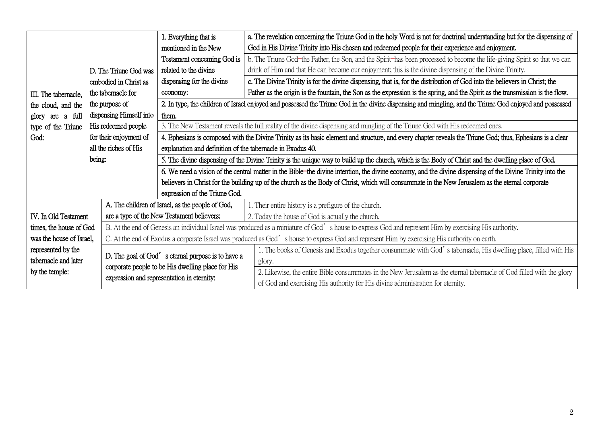|                          |                                                                                                                                                        | 1. Everything that is                                                                                                                                     | a. The revelation concerning the Triune God in the holy Word is not for doctrinal understanding but for the dispensing of                               |  |  |  |  |
|--------------------------|--------------------------------------------------------------------------------------------------------------------------------------------------------|-----------------------------------------------------------------------------------------------------------------------------------------------------------|---------------------------------------------------------------------------------------------------------------------------------------------------------|--|--|--|--|
|                          |                                                                                                                                                        | mentioned in the New                                                                                                                                      | God in His Divine Trinity into His chosen and redeemed people for their experience and enjoyment.                                                       |  |  |  |  |
| III. The tabernacle,     |                                                                                                                                                        | Testament concerning God is                                                                                                                               | b. The Triune God-the Father, the Son, and the Spirit-has been processed to become the life-giving Spirit so that we can                                |  |  |  |  |
|                          | D. The Triune God was                                                                                                                                  | related to the divine                                                                                                                                     | drink of Him and that He can become our enjoyment; this is the divine dispensing of the Divine Trinity.                                                 |  |  |  |  |
|                          | embodied in Christ as                                                                                                                                  | dispensing for the divine                                                                                                                                 | c. The Divine Trinity is for the divine dispensing, that is, for the distribution of God into the believers in Christ; the                              |  |  |  |  |
|                          | the tabernacle for                                                                                                                                     | economy:                                                                                                                                                  | Father as the origin is the fountain, the Son as the expression is the spring, and the Spirit as the transmission is the flow.                          |  |  |  |  |
| the cloud, and the       | the purpose of                                                                                                                                         |                                                                                                                                                           | 2. In type, the children of Israel enjoyed and possessed the Triune God in the divine dispensing and mingling, and the Triune God enjoyed and possessed |  |  |  |  |
| are a full<br>glory      | dispensing Himself into                                                                                                                                | them.                                                                                                                                                     |                                                                                                                                                         |  |  |  |  |
| type of the Triune       | His redeemed people                                                                                                                                    |                                                                                                                                                           | 3. The New Testament reveals the full reality of the divine dispensing and mingling of the Triune God with His redeemed ones.                           |  |  |  |  |
| God:                     | for their enjoyment of                                                                                                                                 | 4. Ephesians is composed with the Divine Trinity as its basic element and structure, and every chapter reveals the Triune God; thus, Ephesians is a clear |                                                                                                                                                         |  |  |  |  |
|                          | all the riches of His                                                                                                                                  | explanation and definition of the tabernacle in Exodus 40.                                                                                                |                                                                                                                                                         |  |  |  |  |
| being:                   |                                                                                                                                                        | 5. The divine dispensing of the Divine Trinity is the unique way to build up the church, which is the Body of Christ and the dwelling place of God.       |                                                                                                                                                         |  |  |  |  |
|                          |                                                                                                                                                        | 6. We need a vision of the central matter in the Bible-the divine intention, the divine economy, and the divine dispensing of the Divine Trinity into the |                                                                                                                                                         |  |  |  |  |
|                          |                                                                                                                                                        | believers in Christ for the building up of the church as the Body of Christ, which will consummate in the New Jerusalem as the eternal corporate          |                                                                                                                                                         |  |  |  |  |
|                          |                                                                                                                                                        | expression of the Triune God.                                                                                                                             |                                                                                                                                                         |  |  |  |  |
|                          |                                                                                                                                                        | A. The children of Israel, as the people of God,                                                                                                          | 1. Their entire history is a prefigure of the church.                                                                                                   |  |  |  |  |
| IV. In Old Testament     |                                                                                                                                                        | are a type of the New Testament believers:                                                                                                                | 2. Today the house of God is actually the church.                                                                                                       |  |  |  |  |
| times, the house of God  | B. At the end of Genesis an individual Israel was produced as a miniature of God's house to express God and represent Him by exercising His authority. |                                                                                                                                                           |                                                                                                                                                         |  |  |  |  |
| was the house of Israel, |                                                                                                                                                        | C. At the end of Exodus a corporate Israel was produced as God's house to express God and represent Him by exercising His authority on earth.             |                                                                                                                                                         |  |  |  |  |
| represented by the       |                                                                                                                                                        | D. The goal of God's eternal purpose is to have a                                                                                                         | 1. The books of Genesis and Exodus together consummate with God's tabernacle, His dwelling place, filled with His                                       |  |  |  |  |
| tabernacle and later     |                                                                                                                                                        |                                                                                                                                                           | glory.                                                                                                                                                  |  |  |  |  |
| by the temple:           |                                                                                                                                                        | corporate people to be His dwelling place for His                                                                                                         | 2. Likewise, the entire Bible consummates in the New Jerusalem as the eternal tabernacle of God filled with the glory                                   |  |  |  |  |
|                          |                                                                                                                                                        | expression and representation in eternity:                                                                                                                | of God and exercising His authority for His divine administration for eternity.                                                                         |  |  |  |  |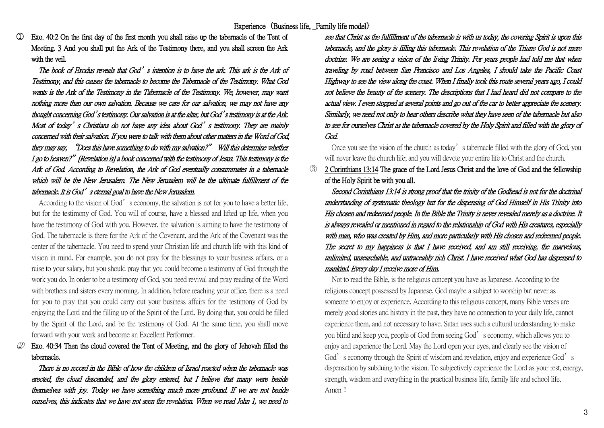① Exo. 40:2 On the first day of the first month you shall raise up the tabernacle of the Tent of Meeting. 3 And you shall put the Ark of the Testimony there, and you shall screen the Ark with the veil.

The book of Exodus reveals that God's intention is to have the ark. This ark is the Ark of Testimony, and this causes the tabernacle to become the Tabernacle of the Testimony. What God wants is the Ark of the Testimony in the Tabernacle of the Testimony. We, however, may want nothing more than our own salvation. Because we care for our salvation, we may not have any thought concerning God's testimony. Our salvation is at the altar, but God's testimony is at the Ark. Most of today's Christians do not have any idea about God's testimony. They are mainly concerned with their salvation. If you were to talk with them about other matters in the Word of God, they may say, "Does this have something to do with my salvation?" Will this determine whether I go to heaven?" [Revelation is] a book concerned with the testimony of Jesus. This testimony is the Ark of God. According to Revelation, the Ark of God eventually consummates in a tabernacle which will be the New Jerusalem. The New Jerusalem will be the ultimate fulfillment of the tabernacle. It is God's eternal goal to have the New Jerusalem.

According to the vision of God's economy, the salvation is not for you to have a better life. but for the testimony of God. You will of course, have a blessed and lifted up life, when you have the testimony of God with you. However, the salvation is aiming to have the testimony of God. The tabernacle is there for the Ark of the Covenant, and the Ark of the Covenant was the center of the tabernacle. You need to spend your Christian life and church life with this kind of vision in mind. For example, you do not pray for the blessings to your business affairs, or a raise to your salary, but you should pray that you could become a testimony of God through the work you do. In order to be a testimony of God, you need revival and pray reading of the Word with brothers and sisters every morning. In addition, before reaching your office, there is a need for you to pray that you could carry out your business affairs for the testimony of God by enjoying the Lord and the filling up of the Spirit of the Lord. By doing that, you could be filled by the Spirit of the Lord, and be the testimony of God. At the same time, you shall move forward with your work and become an Excellent Performer.

## Exo. 40:34 Then the cloud covered the Tent of Meeting, and the glory of Jehovah filled the tabernacle.

 There is no record in the Bible of how the children of Israel reacted when the tabernacle was erected, the cloud descended, and the glory entered, but I believe that many were beside themselves with joy. Today we have something much more profound. If we are not beside ourselves, this indicates that we have not seen the revelation. When we read John 1, we need to see that Christ as the fulfillment of the tabernacle is with us today, the covering Spirit is upon this tabernacle, and the glory is filling this tabernacle. This revelation of the Triune God is not mere doctrine. We are seeing a vision of the living Trinity. For years people had told me that when traveling by road between San Francisco and Los Angeles, I should take the Pacific Coast Highway to see the view along the coast. When I finally took this route several years ago, I could not believe the beauty of the scenery. The descriptions that I had heard did not compare to the actual view. I even stopped at several points and go out of the car to better appreciate the scenery. Similarly, we need not only to hear others describe what they have seen of the tabernacle but also to see for ourselves Christ as the tabernacle covered by the Holy Spirit and filled with the glory of God.

 Once you see the vision of the church as today's tabernacle filled with the glory of God, you will never leave the church life; and you will devote your entire life to Christ and the church.

③ 2 Corinthians 13:14 The grace of the Lord Jesus Christ and the love of God and the fellowship of the Holy Spirit be with you all.

 Second Corinthians 13:14 is strong proof that the trinity of the Godhead is not for the doctrinal understanding of systematic theology but for the dispensing of God Himself in His Trinity into His chosen and redeemed people. In the Bible the Trinity is never revealed merely as a doctrine. It is always revealed or mentioned in regard to the relationship of God with His creatures, especially with man, who was created by Him, and more particularly with His chosen and redeemed people. The secret to my happiness is that I have received, and am still receiving, the marvelous, unlimited, unsearchable, and untraceably rich Christ. I have received what God has dispensed to mankind. Every day I receive more of Him.

Not to read the Bible, is the religious concept you have as Japanese. According to the religious concept possessed by Japanese, God maybe a subject to worship but never as someone to enjoy or experience. According to this religious concept, many Bible verses are merely good stories and history in the past, they have no connection to your daily life, cannot experience them, and not necessary to have. Satan uses such a cultural understanding to make you blind and keep you, people of God from seeing God's economy, which allows you to enjoy and experience the Lord. May the Lord open your eyes, and clearly see the vision of God's economy through the Spirit of wisdom and revelation, enjoy and experience God's dispensation by subduing to the vision. To subjectively experience the Lord as your rest, energy, strength, wisdom and everything in the practical business life, family life and school life. Amen!